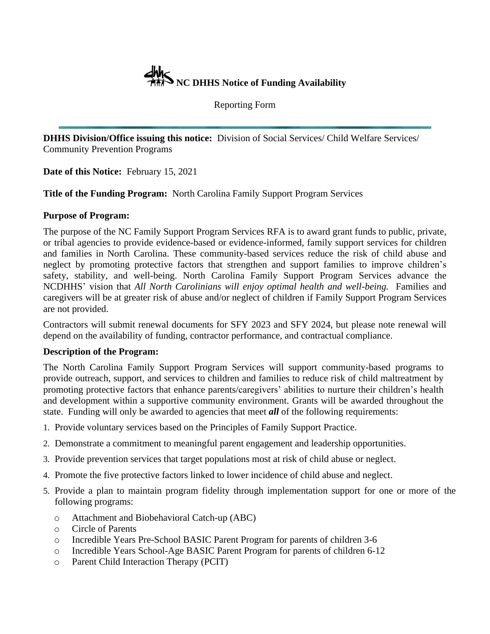

Reporting Form

**DHHS Division/Office issuing this notice:** Division of Social Services/ Child Welfare Services/ Community Prevention Programs

**Date of this Notice:** February 15, 2021

**Title of the Funding Program:** North Carolina Family Support Program Services

## **Purpose of Program:**

The purpose of the NC Family Support Program Services RFA is to award grant funds to public, private, or tribal agencies to provide evidence-based or evidence-informed, family support services for children and families in North Carolina. These community-based services reduce the risk of child abuse and neglect by promoting protective factors that strengthen and support families to improve children's safety, stability, and well-being. North Carolina Family Support Program Services advance the NCDHHS' vision that *All North Carolinians will enjoy optimal health and well-being*. Families and caregivers will be at greater risk of abuse and/or neglect of children if Family Support Program Services are not provided.

Contractors will submit renewal documents for SFY 2023 and SFY 2024, but please note renewal will depend on the availability of funding, contractor performance, and contractual compliance.

## **Description of the Program:**

The North Carolina Family Support Program Services will support community-based programs to provide outreach, support, and services to children and families to reduce risk of child maltreatment by promoting protective factors that enhance parents/caregivers' abilities to nurture their children's health and development within a supportive community environment. Grants will be awarded throughout the state. Funding will only be awarded to agencies that meet *all* of the following requirements:

- 1. Provide voluntary services based on the Principles of Family Support Practice.
- 2. Demonstrate a commitment to meaningful parent engagement and leadership opportunities.
- 3. Provide prevention services that target populations most at risk of child abuse or neglect.
- 4. Promote the five protective factors linked to lower incidence of child abuse and neglect.
- 5. Provide a plan to maintain program fidelity through implementation support for one or more of the following programs:
	- o Attachment and Biobehavioral Catch-up (ABC)
	- o Circle of Parents
	- o Incredible Years Pre-School BASIC Parent Program for parents of children 3-6
	- o Incredible Years School-Age BASIC Parent Program for parents of children 6-12
	- o Parent Child Interaction Therapy (PCIT)